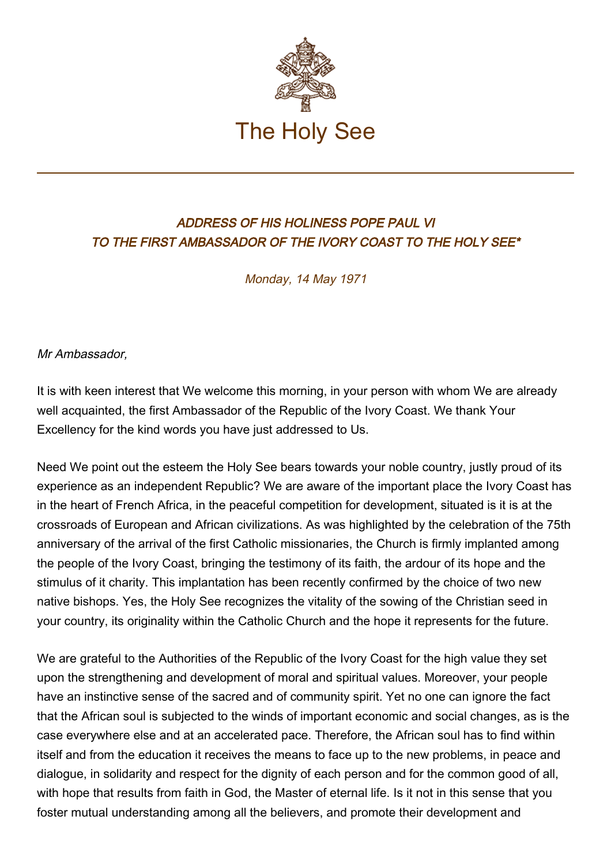

## ADDRESS OF HIS HOLINESS POPE PAUL VI TO THE FIRST AMBASSADOR OF THE IVORY COAST TO THE HOLY SEE\*

Monday, 14 May 1971

Mr Ambassador,

It is with keen interest that We welcome this morning, in your person with whom We are already well acquainted, the first Ambassador of the Republic of the Ivory Coast. We thank Your Excellency for the kind words you have just addressed to Us.

Need We point out the esteem the Holy See bears towards your noble country, justly proud of its experience as an independent Republic? We are aware of the important place the Ivory Coast has in the heart of French Africa, in the peaceful competition for development, situated is it is at the crossroads of European and African civilizations. As was highlighted by the celebration of the 75th anniversary of the arrival of the first Catholic missionaries, the Church is firmly implanted among the people of the Ivory Coast, bringing the testimony of its faith, the ardour of its hope and the stimulus of it charity. This implantation has been recently confirmed by the choice of two new native bishops. Yes, the Holy See recognizes the vitality of the sowing of the Christian seed in your country, its originality within the Catholic Church and the hope it represents for the future.

We are grateful to the Authorities of the Republic of the Ivory Coast for the high value they set upon the strengthening and development of moral and spiritual values. Moreover, your people have an instinctive sense of the sacred and of community spirit. Yet no one can ignore the fact that the African soul is subjected to the winds of important economic and social changes, as is the case everywhere else and at an accelerated pace. Therefore, the African soul has to find within itself and from the education it receives the means to face up to the new problems, in peace and dialogue, in solidarity and respect for the dignity of each person and for the common good of all, with hope that results from faith in God, the Master of eternal life. Is it not in this sense that you foster mutual understanding among all the believers, and promote their development and